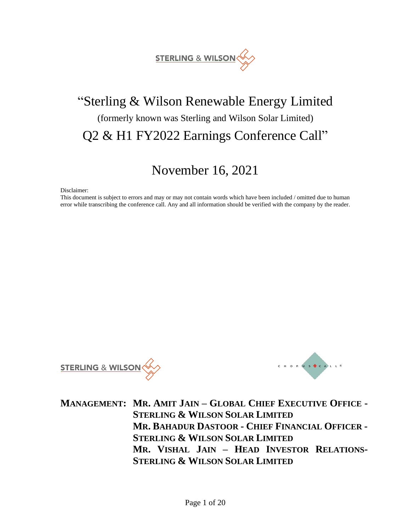

# "Sterling & Wilson Renewable Energy Limited (formerly known was Sterling and Wilson Solar Limited) Q2 & H1 FY2022 Earnings Conference Call"

# November 16, 2021

Disclaimer:

This document is subject to errors and may or may not contain words which have been included / omitted due to human error while transcribing the conference call. Any and all information should be verified with the company by the reader.





**MANAGEMENT: MR. AMIT JAIN – GLOBAL CHIEF EXECUTIVE OFFICE - STERLING & WILSON SOLAR LIMITED MR. BAHADUR DASTOOR - CHIEF FINANCIAL OFFICER - STERLING & WILSON SOLAR LIMITED MR. VISHAL JAIN – HEAD INVESTOR RELATIONS-STERLING & WILSON SOLAR LIMITED**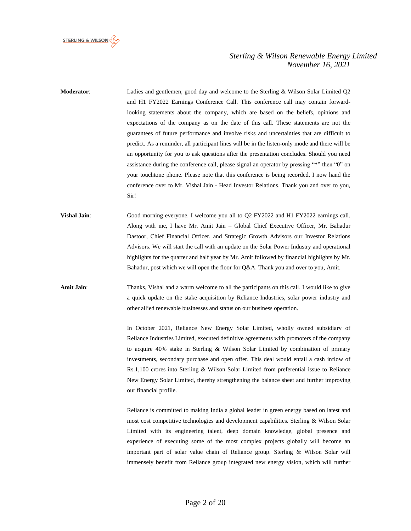

**Moderator**: Ladies and gentlemen, good day and welcome to the Sterling & Wilson Solar Limited Q2 and H1 FY2022 Earnings Conference Call. This conference call may contain forwardlooking statements about the company, which are based on the beliefs, opinions and expectations of the company as on the date of this call. These statements are not the guarantees of future performance and involve risks and uncertainties that are difficult to predict. As a reminder, all participant lines will be in the listen-only mode and there will be an opportunity for you to ask questions after the presentation concludes. Should you need assistance during the conference call, please signal an operator by pressing "\*" then "0" on your touchtone phone. Please note that this conference is being recorded. I now hand the conference over to Mr. Vishal Jain - Head Investor Relations. Thank you and over to you, Sir!

**Vishal Jain:** Good morning everyone. I welcome you all to Q2 FY2022 and H1 FY2022 earnings call. Along with me, I have Mr. Amit Jain – Global Chief Executive Officer, Mr. Bahadur Dastoor, Chief Financial Officer, and Strategic Growth Advisors our Investor Relations Advisors. We will start the call with an update on the Solar Power Industry and operational highlights for the quarter and half year by Mr. Amit followed by financial highlights by Mr. Bahadur, post which we will open the floor for Q&A. Thank you and over to you, Amit.

**Amit Jain**: Thanks, Vishal and a warm welcome to all the participants on this call. I would like to give a quick update on the stake acquisition by Reliance Industries, solar power industry and other allied renewable businesses and status on our business operation.

> In October 2021, Reliance New Energy Solar Limited, wholly owned subsidiary of Reliance Industries Limited, executed definitive agreements with promoters of the company to acquire 40% stake in Sterling & Wilson Solar Limited by combination of primary investments, secondary purchase and open offer. This deal would entail a cash inflow of Rs.1,100 crores into Sterling & Wilson Solar Limited from preferential issue to Reliance New Energy Solar Limited, thereby strengthening the balance sheet and further improving our financial profile.

> Reliance is committed to making India a global leader in green energy based on latest and most cost competitive technologies and development capabilities. Sterling & Wilson Solar Limited with its engineering talent, deep domain knowledge, global presence and experience of executing some of the most complex projects globally will become an important part of solar value chain of Reliance group. Sterling & Wilson Solar will immensely benefit from Reliance group integrated new energy vision, which will further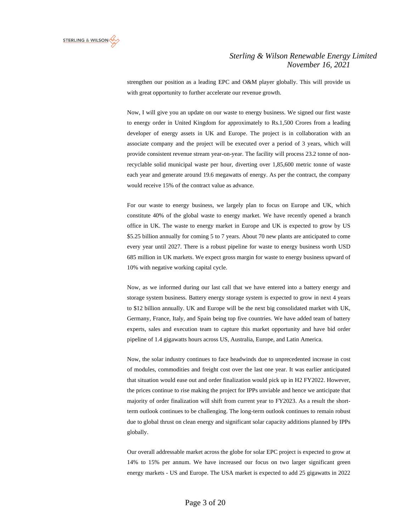

strengthen our position as a leading EPC and O&M player globally. This will provide us with great opportunity to further accelerate our revenue growth.

Now, I will give you an update on our waste to energy business. We signed our first waste to energy order in United Kingdom for approximately to Rs.1,500 Crores from a leading developer of energy assets in UK and Europe. The project is in collaboration with an associate company and the project will be executed over a period of 3 years, which will provide consistent revenue stream year-on-year. The facility will process 23.2 tonne of nonrecyclable solid municipal waste per hour, diverting over 1,85,600 metric tonne of waste each year and generate around 19.6 megawatts of energy. As per the contract, the company would receive 15% of the contract value as advance.

For our waste to energy business, we largely plan to focus on Europe and UK, which constitute 40% of the global waste to energy market. We have recently opened a branch office in UK. The waste to energy market in Europe and UK is expected to grow by US \$5.25 billion annually for coming 5 to 7 years. About 70 new plants are anticipated to come every year until 2027. There is a robust pipeline for waste to energy business worth USD 685 million in UK markets. We expect gross margin for waste to energy business upward of 10% with negative working capital cycle.

Now, as we informed during our last call that we have entered into a battery energy and storage system business. Battery energy storage system is expected to grow in next 4 years to \$12 billion annually. UK and Europe will be the next big consolidated market with UK, Germany, France, Italy, and Spain being top five countries. We have added team of battery experts, sales and execution team to capture this market opportunity and have bid order pipeline of 1.4 gigawatts hours across US, Australia, Europe, and Latin America.

Now, the solar industry continues to face headwinds due to unprecedented increase in cost of modules, commodities and freight cost over the last one year. It was earlier anticipated that situation would ease out and order finalization would pick up in H2 FY2022. However, the prices continue to rise making the project for IPPs unviable and hence we anticipate that majority of order finalization will shift from current year to FY2023. As a result the shortterm outlook continues to be challenging. The long-term outlook continues to remain robust due to global thrust on clean energy and significant solar capacity additions planned by IPPs globally.

Our overall addressable market across the globe for solar EPC project is expected to grow at 14% to 15% per annum. We have increased our focus on two larger significant green energy markets - US and Europe. The USA market is expected to add 25 gigawatts in 2022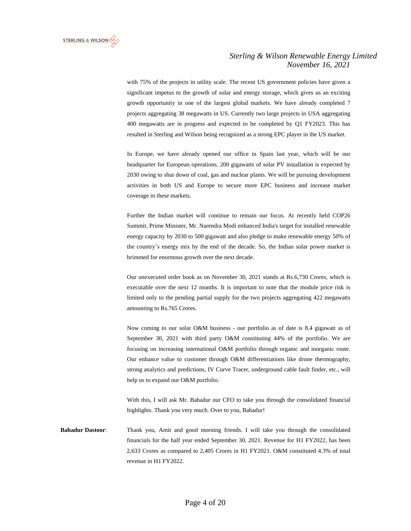

with 75% of the projects in utility scale. The recent US government policies have given a significant impetus to the growth of solar and energy storage, which gives us an exciting growth opportunity in one of the largest global markets. We have already completed 7 projects aggregating 38 megawatts in US. Currently two large projects in USA aggregating 400 megawatts are in progress and expected to be completed by Q1 FY2023. This has resulted in Sterling and Wilson being recognized as a strong EPC player in the US market.

In Europe, we have already opened our office in Spain last year, which will be our headquarter for European operations. 200 gigawatts of solar PV installation is expected by 2030 owing to shut down of coal, gas and nuclear plants. We will be pursuing development activities in both US and Europe to secure more EPC business and increase market coverage in these markets.

Further the Indian market will continue to remain our focus. At recently held COP26 Summit, Prime Minister, Mr. Narendra Modi enhanced India's target for installed renewable energy capacity by 2030 to 500 gigawatt and also pledge to make renewable energy 50% of the country's energy mix by the end of the decade. So, the Indian solar power market is brimmed for enormous growth over the next decade.

Our unexecuted order book as on November 30, 2021 stands at Rs.6,730 Crores, which is executable over the next 12 months. It is important to note that the module price risk is limited only to the pending partial supply for the two projects aggregating 422 megawatts amounting to Rs.765 Crores.

Now coming to our solar O&M business - our portfolio as of date is 8.4 gigawatt as of September 30, 2021 with third party O&M constituting 44% of the portfolio. We are focusing on increasing international O&M portfolio through organic and inorganic route. Our enhance value to customer through O&M differentiations like drone thermography, strong analytics and predictions, IV Curve Tracer, underground cable fault finder, etc., will help us to expand our O&M portfolio.

With this, I will ask Mr. Bahadur our CFO to take you through the consolidated financial highlights. Thank you very much. Over to you, Bahadur!

**Bahadur Dastoor**: Thank you, Amit and good morning friends. I will take you through the consolidated financials for the half year ended September 30, 2021. Revenue for H1 FY2022, has been 2,633 Crores as compared to 2,405 Crores in H1 FY2021. O&M constituted 4.3% of total revenue in H1 FY2022.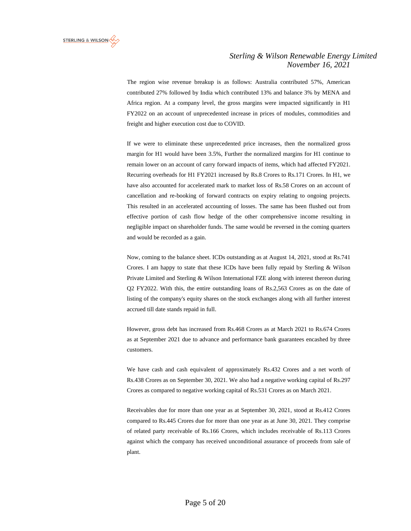

The region wise revenue breakup is as follows: Australia contributed 57%, American contributed 27% followed by India which contributed 13% and balance 3% by MENA and Africa region. At a company level, the gross margins were impacted significantly in H1 FY2022 on an account of unprecedented increase in prices of modules, commodities and freight and higher execution cost due to COVID.

If we were to eliminate these unprecedented price increases, then the normalized gross margin for H1 would have been 3.5%, Further the normalized margins for H1 continue to remain lower on an account of carry forward impacts of items, which had affected FY2021. Recurring overheads for H1 FY2021 increased by Rs.8 Crores to Rs.171 Crores. In H1, we have also accounted for accelerated mark to market loss of Rs.58 Crores on an account of cancellation and re-booking of forward contracts on expiry relating to ongoing projects. This resulted in an accelerated accounting of losses. The same has been flushed out from effective portion of cash flow hedge of the other comprehensive income resulting in negligible impact on shareholder funds. The same would be reversed in the coming quarters and would be recorded as a gain.

Now, coming to the balance sheet. ICDs outstanding as at August 14, 2021, stood at Rs.741 Crores. I am happy to state that these ICDs have been fully repaid by Sterling & Wilson Private Limited and Sterling & Wilson International FZE along with interest thereon during Q2 FY2022. With this, the entire outstanding loans of Rs.2,563 Crores as on the date of listing of the company's equity shares on the stock exchanges along with all further interest accrued till date stands repaid in full.

However, gross debt has increased from Rs.468 Crores as at March 2021 to Rs.674 Crores as at September 2021 due to advance and performance bank guarantees encashed by three customers.

We have cash and cash equivalent of approximately Rs.432 Crores and a net worth of Rs.438 Crores as on September 30, 2021. We also had a negative working capital of Rs.297 Crores as compared to negative working capital of Rs.531 Crores as on March 2021.

Receivables due for more than one year as at September 30, 2021, stood at Rs.412 Crores compared to Rs.445 Crores due for more than one year as at June 30, 2021. They comprise of related party receivable of Rs.166 Crores, which includes receivable of Rs.113 Crores against which the company has received unconditional assurance of proceeds from sale of plant.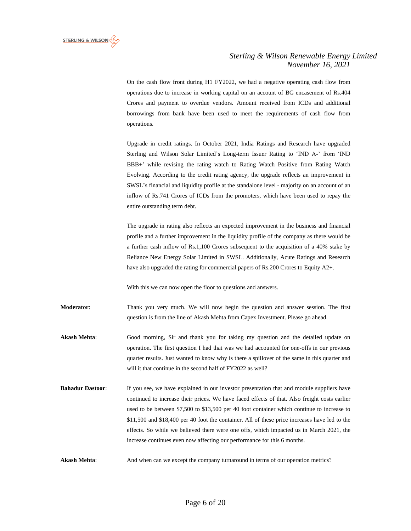

On the cash flow front during H1 FY2022, we had a negative operating cash flow from operations due to increase in working capital on an account of BG encasement of Rs.404 Crores and payment to overdue vendors. Amount received from ICDs and additional borrowings from bank have been used to meet the requirements of cash flow from operations.

Upgrade in credit ratings. In October 2021, India Ratings and Research have upgraded Sterling and Wilson Solar Limited's Long-term Issuer Rating to 'IND A-' from 'IND BBB+' while revising the rating watch to Rating Watch Positive from Rating Watch Evolving. According to the credit rating agency, the upgrade reflects an improvement in SWSL's financial and liquidity profile at the standalone level - majority on an account of an inflow of Rs.741 Crores of ICDs from the promoters, which have been used to repay the entire outstanding term debt.

The upgrade in rating also reflects an expected improvement in the business and financial profile and a further improvement in the liquidity profile of the company as there would be a further cash inflow of Rs.1,100 Crores subsequent to the acquisition of a 40% stake by Reliance New Energy Solar Limited in SWSL. Additionally, Acute Ratings and Research have also upgraded the rating for commercial papers of Rs.200 Crores to Equity A2+.

With this we can now open the floor to questions and answers.

**Moderator**: Thank you very much. We will now begin the question and answer session. The first question is from the line of Akash Mehta from Capex Investment. Please go ahead.

**Akash Mehta**: Good morning, Sir and thank you for taking my question and the detailed update on operation. The first question I had that was we had accounted for one-offs in our previous quarter results. Just wanted to know why is there a spillover of the same in this quarter and will it that continue in the second half of FY2022 as well?

- **Bahadur Dastoor:** If you see, we have explained in our investor presentation that and module suppliers have continued to increase their prices. We have faced effects of that. Also freight costs earlier used to be between \$7,500 to \$13,500 per 40 foot container which continue to increase to \$11,500 and \$18,400 per 40 foot the container. All of these price increases have led to the effects. So while we believed there were one offs, which impacted us in March 2021, the increase continues even now affecting our performance for this 6 months.
- **Akash Mehta:** And when can we except the company turnaround in terms of our operation metrics?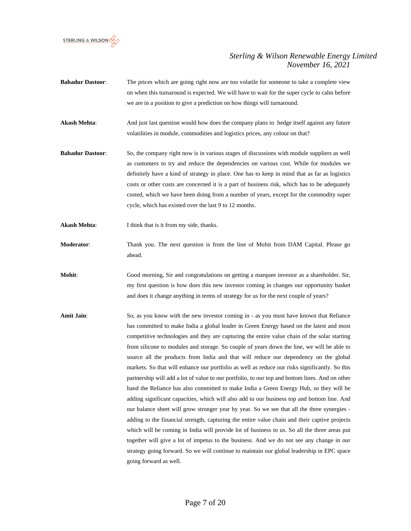

- **Bahadur Dastoor:** The prices which are going right now are too volatile for someone to take a complete view on when this turnaround is expected. We will have to wait for the super cycle to calm before we are in a position to give a prediction on how things will turnaround.
- **Akash Mehta:** And just last question would how does the company plans to hedge itself against any future volatilities in module, commodities and logistics prices, any colour on that?
- **Bahadur Dastoor**: So, the company right now is in various stages of discussions with module suppliers as well as customers to try and reduce the dependencies on various cost. While for modules we definitely have a kind of strategy in place. One has to keep in mind that as far as logistics costs or other costs are concerned it is a part of business risk, which has to be adequately costed, which we have been doing from a number of years, except for the commodity super cycle, which has existed over the last 9 to 12 months.
- Akash Mehta: I think that is it from my side, thanks.
- **Moderator**: Thank you. The next question is from the line of Mohit from DAM Capital. Please go ahead.

**Mohit**: Good morning, Sir and congratulations on getting a marquee investor as a shareholder. Sir, my first question is how does this new investor coming in changes our opportunity basket and does it change anything in terms of strategy for us for the next couple of years?

**Amit Jain**: So, as you know with the new investor coming in - as you must have known that Reliance has committed to make India a global leader in Green Energy based on the latest and most competitive technologies and they are capturing the entire value chain of the solar starting from silicone to modules and storage. So couple of years down the line, we will be able to source all the products from India and that will reduce our dependency on the global markets. So that will enhance our portfolio as well as reduce our risks significantly. So this partnership will add a lot of value to our portfolio, to our top and bottom lines. And on other hand the Reliance has also committed to make India a Green Energy Hub, so they will be adding significant capacities, which will also add to our business top and bottom line. And our balance sheet will grow stronger year by year. So we see that all the three synergies adding to the financial strength, capturing the entire value chain and their captive projects which will be coming in India will provide lot of business to us. So all the three areas put together will give a lot of impetus to the business. And we do not see any change in our strategy going forward. So we will continue to maintain our global leadership in EPC space going forward as well.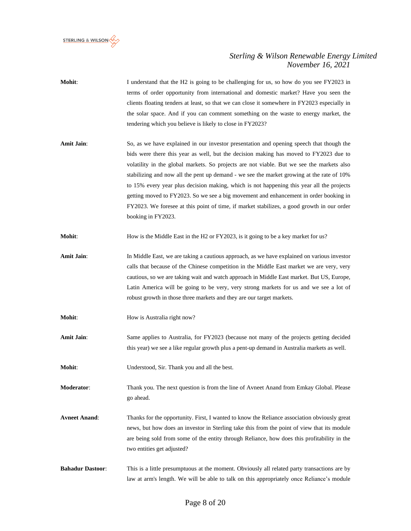

- **Mohit:** I understand that the H2 is going to be challenging for us, so how do you see FY2023 in terms of order opportunity from international and domestic market? Have you seen the clients floating tenders at least, so that we can close it somewhere in FY2023 especially in the solar space. And if you can comment something on the waste to energy market, the tendering which you believe is likely to close in FY2023?
- **Amit Jain**: So, as we have explained in our investor presentation and opening speech that though the bids were there this year as well, but the decision making has moved to FY2023 due to volatility in the global markets. So projects are not viable. But we see the markets also stabilizing and now all the pent up demand - we see the market growing at the rate of 10% to 15% every year plus decision making, which is not happening this year all the projects getting moved to FY2023. So we see a big movement and enhancement in order booking in FY2023. We foresee at this point of time, if market stabilizes, a good growth in our order booking in FY2023.

**Mohit:** How is the Middle East in the H2 or FY2023, is it going to be a key market for us?

- **Amit Jain:** In Middle East, we are taking a cautious approach, as we have explained on various investor calls that because of the Chinese competition in the Middle East market we are very, very cautious, so we are taking wait and watch approach in Middle East market. But US, Europe, Latin America will be going to be very, very strong markets for us and we see a lot of robust growth in those three markets and they are our target markets.
- **Mohit:** How is Australia right now?
- **Amit Jain**: Same applies to Australia, for FY2023 (because not many of the projects getting decided this year) we see a like regular growth plus a pent-up demand in Australia markets as well.

**Mohit**: Understood, Sir. Thank you and all the best.

**Moderator**: Thank you. The next question is from the line of Avneet Anand from Emkay Global. Please go ahead.

- **Avneet Anand**: Thanks for the opportunity. First, I wanted to know the Reliance association obviously great news, but how does an investor in Sterling take this from the point of view that its module are being sold from some of the entity through Reliance, how does this profitability in the two entities get adjusted?
- **Bahadur Dastoor**: This is a little presumptuous at the moment. Obviously all related party transactions are by law at arm's length. We will be able to talk on this appropriately once Reliance's module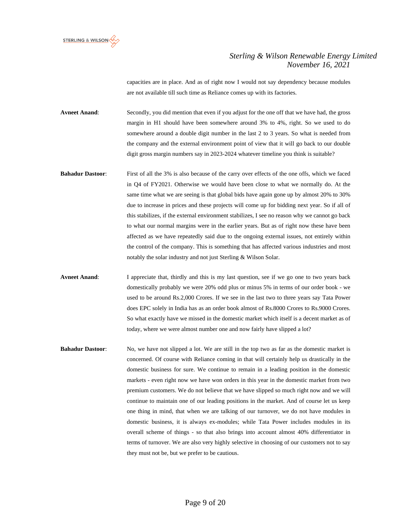

capacities are in place. And as of right now I would not say dependency because modules are not available till such time as Reliance comes up with its factories.

**Avneet Anand**: Secondly, you did mention that even if you adjust for the one off that we have had, the gross margin in H1 should have been somewhere around 3% to 4%, right. So we used to do somewhere around a double digit number in the last 2 to 3 years. So what is needed from the company and the external environment point of view that it will go back to our double digit gross margin numbers say in 2023-2024 whatever timeline you think is suitable?

- **Bahadur Dastoor**: First of all the 3% is also because of the carry over effects of the one offs, which we faced in Q4 of FY2021. Otherwise we would have been close to what we normally do. At the same time what we are seeing is that global bids have again gone up by almost 20% to 30% due to increase in prices and these projects will come up for bidding next year. So if all of this stabilizes, if the external environment stabilizes, I see no reason why we cannot go back to what our normal margins were in the earlier years. But as of right now these have been affected as we have repeatedly said due to the ongoing external issues, not entirely within the control of the company. This is something that has affected various industries and most notably the solar industry and not just Sterling & Wilson Solar.
- **Avneet Anand**: I appreciate that, thirdly and this is my last question, see if we go one to two years back domestically probably we were 20% odd plus or minus 5% in terms of our order book - we used to be around Rs.2,000 Crores. If we see in the last two to three years say Tata Power does EPC solely in India has as an order book almost of Rs.8000 Crores to Rs.9000 Crores. So what exactly have we missed in the domestic market which itself is a decent market as of today, where we were almost number one and now fairly have slipped a lot?
- **Bahadur Dastoor**: No, we have not slipped a lot. We are still in the top two as far as the domestic market is concerned. Of course with Reliance coming in that will certainly help us drastically in the domestic business for sure. We continue to remain in a leading position in the domestic markets - even right now we have won orders in this year in the domestic market from two premium customers. We do not believe that we have slipped so much right now and we will continue to maintain one of our leading positions in the market. And of course let us keep one thing in mind, that when we are talking of our turnover, we do not have modules in domestic business, it is always ex-modules; while Tata Power includes modules in its overall scheme of things - so that also brings into account almost 40% differentiator in terms of turnover. We are also very highly selective in choosing of our customers not to say they must not be, but we prefer to be cautious.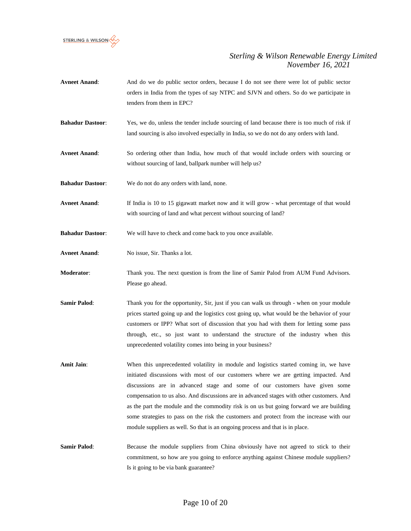

- **Avneet Anand**: And do we do public sector orders, because I do not see there were lot of public sector orders in India from the types of say NTPC and SJVN and others. So do we participate in tenders from them in EPC?
- **Bahadur Dastoor**: Yes, we do, unless the tender include sourcing of land because there is too much of risk if land sourcing is also involved especially in India, so we do not do any orders with land.
- **Avneet Anand**: So ordering other than India, how much of that would include orders with sourcing or without sourcing of land, ballpark number will help us?
- **Bahadur Dastoor**: We do not do any orders with land, none.
- **Avneet Anand**: If India is 10 to 15 gigawatt market now and it will grow what percentage of that would with sourcing of land and what percent without sourcing of land?
- **Bahadur Dastoor**: We will have to check and come back to you once available.
- **Avneet Anand**: No issue, Sir. Thanks a lot.
- **Moderator**: Thank you. The next question is from the line of Samir Palod from AUM Fund Advisors. Please go ahead.
- **Samir Palod**: Thank you for the opportunity, Sir, just if you can walk us through when on your module prices started going up and the logistics cost going up, what would be the behavior of your customers or IPP? What sort of discussion that you had with them for letting some pass through, etc., so just want to understand the structure of the industry when this unprecedented volatility comes into being in your business?
- Amit Jain: When this unprecedented volatility in module and logistics started coming in, we have initiated discussions with most of our customers where we are getting impacted. And discussions are in advanced stage and some of our customers have given some compensation to us also. And discussions are in advanced stages with other customers. And as the part the module and the commodity risk is on us but going forward we are building some strategies to pass on the risk the customers and protect from the increase with our module suppliers as well. So that is an ongoing process and that is in place.
- **Samir Palod:** Because the module suppliers from China obviously have not agreed to stick to their commitment, so how are you going to enforce anything against Chinese module suppliers? Is it going to be via bank guarantee?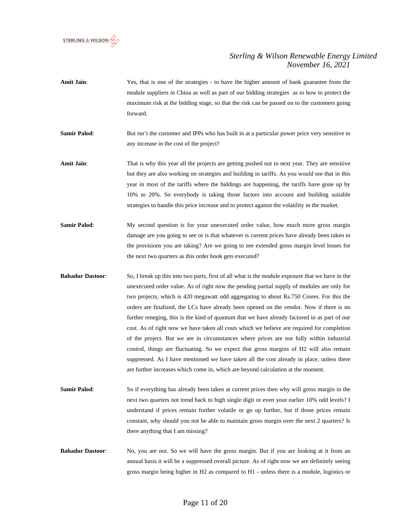

- Amit Jain: Yes, that is one of the strategies to have the higher amount of bank guarantee from the module suppliers in China as well as part of our bidding strategies as to how to protect the maximum risk at the bidding stage, so that the risk can be passed on to the customers going forward.
- **Samir Palod:** But isn't the customer and IPPs who has built in at a particular power price very sensitive to any increase in the cost of the project?
- **Amit Jain**: That is why this year all the projects are getting pushed out to next year. They are sensitive but they are also working on strategies and building in tariffs. As you would see that in this year in most of the tariffs where the biddings are happening, the tariffs have gone up by 10% to 20%. So everybody is taking those factors into account and building suitable strategies to handle this price increase and to protect against the volatility in the market.
- **Samir Palod:** My second question is for your unexecuted order value, how much more gross margin damage are you going to see or is that whatever is current prices have already been taken to the provisions you are taking? Are we going to see extended gross margin level losses for the next two quarters as this order book gets executed?
- **Bahadur Dastoor**: So, I break up this into two parts, first of all what is the module exposure that we have in the unexecuted order value. As of right now the pending partial supply of modules are only for two projects, which is 420 megawatt odd aggregating to about Rs.750 Crores. For this the orders are finalized, the LCs have already been opened on the vendor. Now if there is no further reneging, this is the kind of quantum that we have already factored in as part of our cost. As of right now we have taken all costs which we believe are required for completion of the project. But we are in circumstances where prices are not fully within industrial control, things are fluctuating. So we expect that gross margins of H2 will also remain suppressed. As I have mentioned we have taken all the cost already in place, unless there are further increases which come in, which are beyond calculation at the moment.
- **Samir Palod:** So if everything has already been taken at current prices then why will gross margin in the next two quarters not trend back to high single digit or even your earlier 10% odd levels? I understand if prices remain further volatile or go up further, but if those prices remain constant, why should you not be able to maintain gross margin over the next 2 quarters? Is there anything that I am missing?
- **Bahadur Dastoor:** No, you are not. So we will have the gross margin. But if you are looking at it from an annual basis it will be a suppressed overall picture. As of right now we are definitely seeing gross margin being higher in H2 as compared to H1 - unless there is a module, logistics or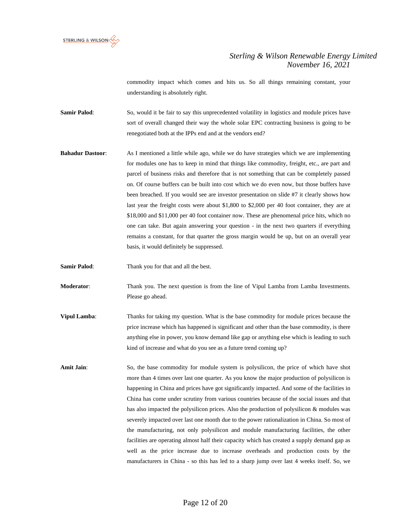

commodity impact which comes and hits us. So all things remaining constant, your understanding is absolutely right.

**Samir Palod:** So, would it be fair to say this unprecedented volatility in logistics and module prices have sort of overall changed their way the whole solar EPC contracting business is going to be renegotiated both at the IPPs end and at the vendors end?

- **Bahadur Dastoor:** As I mentioned a little while ago, while we do have strategies which we are implementing for modules one has to keep in mind that things like commodity, freight, etc., are part and parcel of business risks and therefore that is not something that can be completely passed on. Of course buffers can be built into cost which we do even now, but those buffers have been breached. If you would see are investor presentation on slide #7 it clearly shows how last year the freight costs were about \$1,800 to \$2,000 per 40 foot container, they are at \$18,000 and \$11,000 per 40 foot container now. These are phenomenal price hits, which no one can take. But again answering your question - in the next two quarters if everything remains a constant, for that quarter the gross margin would be up, but on an overall year basis, it would definitely be suppressed.
- **Samir Palod:** Thank you for that and all the best.

**Moderator**: Thank you. The next question is from the line of Vipul Lamba from Lamba Investments. Please go ahead.

- **Vipul Lamba**: Thanks for taking my question. What is the base commodity for module prices because the price increase which has happened is significant and other than the base commodity, is there anything else in power, you know demand like gap or anything else which is leading to such kind of increase and what do you see as a future trend coming up?
- Amit Jain: So, the base commodity for module system is polysilicon, the price of which have shot more than 4 times over last one quarter. As you know the major production of polysilicon is happening in China and prices have got significantly impacted. And some of the facilities in China has come under scrutiny from various countries because of the social issues and that has also impacted the polysilicon prices. Also the production of polysilicon & modules was severely impacted over last one month due to the power rationalization in China. So most of the manufacturing, not only polysilicon and module manufacturing facilities, the other facilities are operating almost half their capacity which has created a supply demand gap as well as the price increase due to increase overheads and production costs by the manufacturers in China - so this has led to a sharp jump over last 4 weeks itself. So, we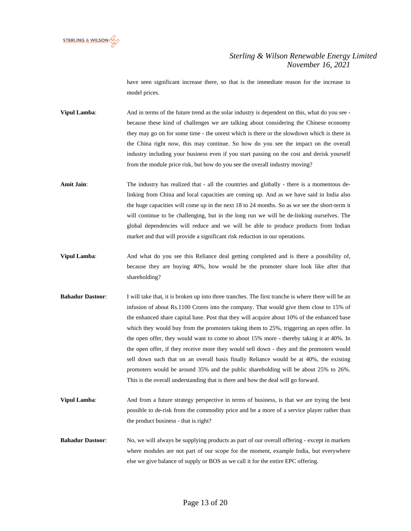

have seen significant increase there, so that is the immediate reason for the increase in model prices.

**Vipul Lamba:** And in terms of the future trend as the solar industry is dependent on this, what do you see because these kind of challenges we are talking about considering the Chinese economy they may go on for some time - the unrest which is there or the slowdown which is there in the China right now, this may continue. So how do you see the impact on the overall industry including your business even if you start passing on the cost and derisk yourself from the module price risk, but how do you see the overall industry moving?

Amit Jain: The industry has realized that - all the countries and globally - there is a momentous delinking from China and local capacities are coming up. And as we have said in India also the huge capacities will come up in the next 18 to 24 months. So as we see the short-term it will continue to be challenging, but in the long run we will be de-linking ourselves. The global dependencies will reduce and we will be able to produce products from Indian market and that will provide a significant risk reduction in our operations.

- **Vipul Lamba**: And what do you see this Reliance deal getting completed and is there a possibility of, because they are buying 40%, how would be the promoter share look like after that shareholding?
- **Bahadur Dastoor:** I will take that, it is broken up into three tranches. The first tranche is where there will be an infusion of about Rs.1100 Crores into the company. That would give them close to 15% of the enhanced share capital base. Post that they will acquire about 10% of the enhanced base which they would buy from the promoters taking them to 25%, triggering an open offer. In the open offer, they would want to come to about 15% more - thereby taking it at 40%. In the open offer, if they receive more they would sell down - they and the promoters would sell down such that on an overall basis finally Reliance would be at 40%, the existing promoters would be around 35% and the public shareholding will be about 25% to 26%. This is the overall understanding that is there and how the deal will go forward.
- **Vipul Lamba:** And from a future strategy perspective in terms of business, is that we are trying the best possible to de-risk from the commodity price and be a more of a service player rather than the product business - that is right?

**Bahadur Dastoor:** No, we will always be supplying products as part of our overall offering - except in markets where modules are not part of our scope for the moment, example India, but everywhere else we give balance of supply or BOS as we call it for the entire EPC offering.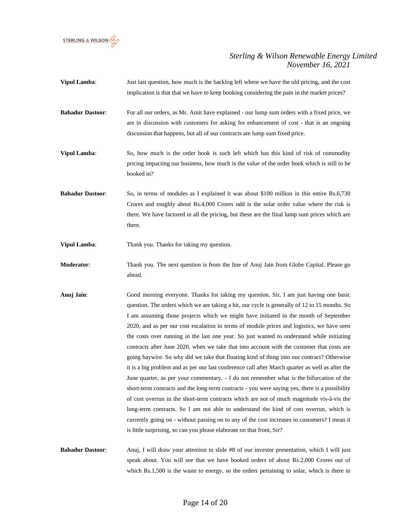

- **Vipul Lamba:** Just last question, how much is the backlog left where we have the old pricing, and the cost implication is that that we have to keep booking considering the pain in the market prices?
- **Bahadur Dastoor**: For all our orders, as Mr. Amit have explained our lump sum orders with a fixed price, we are in discussion with customers for asking for enhancement of cost - that is an ongoing discussion that happens, but all of our contracts are lump sum fixed price.
- **Vipul Lamba:** So, how much is the order book is such left which has this kind of risk of commodity pricing impacting our business, how much is the value of the order book which is still to be booked in?
- **Bahadur Dastoor**: So, in terms of modules as I explained it was about \$100 million in this entire Rs.6,730 Crores and roughly about Rs.4,000 Crores odd is the solar order value where the risk is there. We have factored in all the pricing, but these are the final lump sum prices which are there.

**Vipul Lamba:** Thank you. Thanks for taking my question.

- **Moderator**: Thank you. The next question is from the line of Anuj Jain from Globe Capital. Please go ahead.
- **Anuj Jain**: Good morning everyone. Thanks for taking my question. Sir, I am just having one basic question. The orders which we are taking a hit, our cycle is generally of 12 to 15 months. So I am assuming those projects which we might have initiated in the month of September 2020, and as per our cost escalation in terms of module prices and logistics, we have seen the costs over running in the last one year. So just wanted to understand while initiating contracts after June 2020, when we take that into account with the customer that costs are going haywire. So why did we take that floating kind of thing into our contract? Otherwise it is a big problem and as per our last conference call after March quarter as well as after the June quarter, as per your commentary, - I do not remember what is the bifurcation of the short-term contracts and the long-term contracts - you were saying yes, there is a possibility of cost overrun in the short-term contracts which are not of much magnitude vis-à-vis the long-term contracts. So I am not able to understand the kind of cost overrun, which is currently going on - without passing on to any of the cost increases to customers? I mean it is little surprising, so can you please elaborate on that front, Sir?
- **Bahadur Dastoor**: Anuj, I will draw your attention to slide #8 of our investor presentation, which I will just speak about. You will see that we have booked orders of about Rs.2,000 Crores out of which Rs.1,500 is the waste to energy, so the orders pertaining to solar, which is there in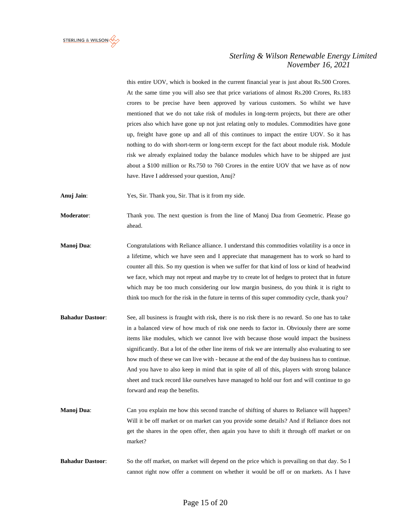

this entire UOV, which is booked in the current financial year is just about Rs.500 Crores. At the same time you will also see that price variations of almost Rs.200 Crores, Rs.183 crores to be precise have been approved by various customers. So whilst we have mentioned that we do not take risk of modules in long-term projects, but there are other prices also which have gone up not just relating only to modules. Commodities have gone up, freight have gone up and all of this continues to impact the entire UOV. So it has nothing to do with short-term or long-term except for the fact about module risk. Module risk we already explained today the balance modules which have to be shipped are just about a \$100 million or Rs.750 to 760 Crores in the entire UOV that we have as of now have. Have I addressed your question, Anuj?

**Anuj Jain**: Yes, Sir. Thank you, Sir. That is it from my side.

**Moderator:** Thank you. The next question is from the line of Manoj Dua from Geometric. Please go ahead.

- **Manoj Dua**: Congratulations with Reliance alliance. I understand this commodities volatility is a once in a lifetime, which we have seen and I appreciate that management has to work so hard to counter all this. So my question is when we suffer for that kind of loss or kind of headwind we face, which may not repeat and maybe try to create lot of hedges to protect that in future which may be too much considering our low margin business, do you think it is right to think too much for the risk in the future in terms of this super commodity cycle, thank you?
- **Bahadur Dastoor**: See, all business is fraught with risk, there is no risk there is no reward. So one has to take in a balanced view of how much of risk one needs to factor in. Obviously there are some items like modules, which we cannot live with because those would impact the business significantly. But a lot of the other line items of risk we are internally also evaluating to see how much of these we can live with - because at the end of the day business has to continue. And you have to also keep in mind that in spite of all of this, players with strong balance sheet and track record like ourselves have managed to hold our fort and will continue to go forward and reap the benefits.
- **Manoj Dua:** Can you explain me how this second tranche of shifting of shares to Reliance will happen? Will it be off market or on market can you provide some details? And if Reliance does not get the shares in the open offer, then again you have to shift it through off market or on market?
- **Bahadur Dastoor**: So the off market, on market will depend on the price which is prevailing on that day. So I cannot right now offer a comment on whether it would be off or on markets. As I have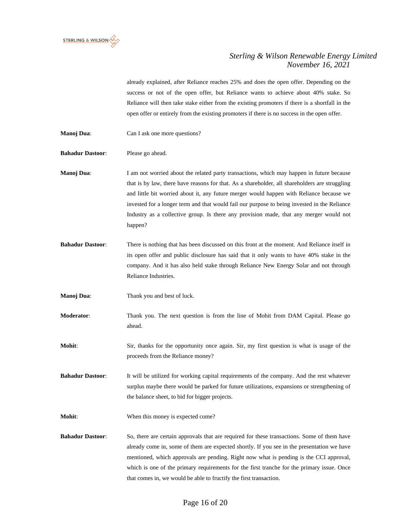

already explained, after Reliance reaches 25% and does the open offer. Depending on the success or not of the open offer, but Reliance wants to achieve about 40% stake. So Reliance will then take stake either from the existing promoters if there is a shortfall in the open offer or entirely from the existing promoters if there is no success in the open offer.

- **Manoj Dua:** Can I ask one more questions?
- **Bahadur Dastoor**: Please go ahead.

**Manoj Dua**: I am not worried about the related party transactions, which may happen in future because that is by law, there have reasons for that. As a shareholder, all shareholders are struggling and little bit worried about it, any future merger would happen with Reliance because we invested for a longer term and that would fail our purpose to being invested in the Reliance Industry as a collective group. Is there any provision made, that any merger would not happen?

- **Bahadur Dastoor**: There is nothing that has been discussed on this front at the moment. And Reliance itself in its open offer and public disclosure has said that it only wants to have 40% stake in the company. And it has also held stake through Reliance New Energy Solar and not through Reliance Industries.
- **Manoj Dua:** Thank you and best of luck.
- **Moderator**: Thank you. The next question is from the line of Mohit from DAM Capital. Please go ahead.

**Mohit**: Sir, thanks for the opportunity once again. Sir, my first question is what is usage of the proceeds from the Reliance money?

**Bahadur Dastoor**: It will be utilized for working capital requirements of the company. And the rest whatever surplus maybe there would be parked for future utilizations, expansions or strengthening of the balance sheet, to bid for bigger projects.

- **Mohit:** When this money is expected come?
- **Bahadur Dastoor:** So, there are certain approvals that are required for these transactions. Some of them have already come in, some of them are expected shortly. If you see in the presentation we have mentioned, which approvals are pending. Right now what is pending is the CCI approval, which is one of the primary requirements for the first tranche for the primary issue. Once that comes in, we would be able to fructify the first transaction.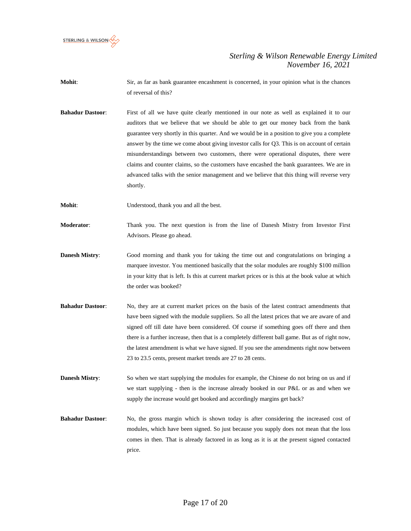

- **Mohit:** Sir, as far as bank guarantee encashment is concerned, in your opinion what is the chances of reversal of this?
- **Bahadur Dastoor**: First of all we have quite clearly mentioned in our note as well as explained it to our auditors that we believe that we should be able to get our money back from the bank guarantee very shortly in this quarter. And we would be in a position to give you a complete answer by the time we come about giving investor calls for Q3. This is on account of certain misunderstandings between two customers, there were operational disputes, there were claims and counter claims, so the customers have encashed the bank guarantees. We are in advanced talks with the senior management and we believe that this thing will reverse very shortly.
- **Mohit:** Understood, thank you and all the best.
- **Moderator**: Thank you. The next question is from the line of Danesh Mistry from Investor First Advisors. Please go ahead.
- **Danesh Mistry**: Good morning and thank you for taking the time out and congratulations on bringing a marquee investor. You mentioned basically that the solar modules are roughly \$100 million in your kitty that is left. Is this at current market prices or is this at the book value at which the order was booked?
- **Bahadur Dastoor**: No, they are at current market prices on the basis of the latest contract amendments that have been signed with the module suppliers. So all the latest prices that we are aware of and signed off till date have been considered. Of course if something goes off there and then there is a further increase, then that is a completely different ball game. But as of right now, the latest amendment is what we have signed. If you see the amendments right now between 23 to 23.5 cents, present market trends are 27 to 28 cents.

**Danesh Mistry:** So when we start supplying the modules for example, the Chinese do not bring on us and if we start supplying - then is the increase already booked in our P&L or as and when we supply the increase would get booked and accordingly margins get back?

**Bahadur Dastoor**: No, the gross margin which is shown today is after considering the increased cost of modules, which have been signed. So just because you supply does not mean that the loss comes in then. That is already factored in as long as it is at the present signed contacted price.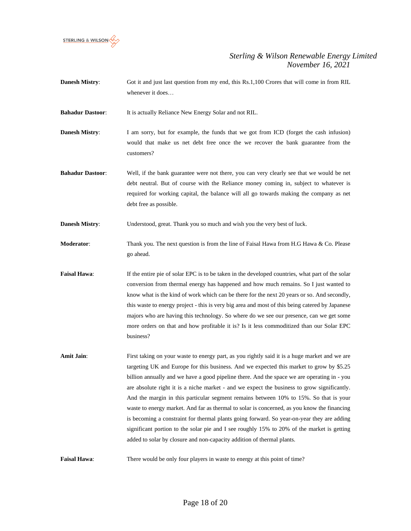

**Danesh Mistry:** Got it and just last question from my end, this Rs.1,100 Crores that will come in from RIL whenever it does…

**Bahadur Dastoor**: It is actually Reliance New Energy Solar and not RIL.

- **Danesh Mistry:** I am sorry, but for example, the funds that we got from ICD (forget the cash infusion) would that make us net debt free once the we recover the bank guarantee from the customers?
- **Bahadur Dastoor:** Well, if the bank guarantee were not there, you can very clearly see that we would be net debt neutral. But of course with the Reliance money coming in, subject to whatever is required for working capital, the balance will all go towards making the company as net debt free as possible.

**Danesh Mistry:** Understood, great. Thank you so much and wish you the very best of luck.

- **Moderator**: Thank you. The next question is from the line of Faisal Hawa from H.G Hawa & Co. Please go ahead.
- **Faisal Hawa:** If the entire pie of solar EPC is to be taken in the developed countries, what part of the solar conversion from thermal energy has happened and how much remains. So I just wanted to know what is the kind of work which can be there for the next 20 years or so. And secondly, this waste to energy project - this is very big area and most of this being catered by Japanese majors who are having this technology. So where do we see our presence, can we get some more orders on that and how profitable it is? Is it less commoditized than our Solar EPC business?
- **Amit Jain:** First taking on your waste to energy part, as you rightly said it is a huge market and we are targeting UK and Europe for this business. And we expected this market to grow by \$5.25 billion annually and we have a good pipeline there. And the space we are operating in - you are absolute right it is a niche market - and we expect the business to grow significantly. And the margin in this particular segment remains between 10% to 15%. So that is your waste to energy market. And far as thermal to solar is concerned, as you know the financing is becoming a constraint for thermal plants going forward. So year-on-year they are adding significant portion to the solar pie and I see roughly 15% to 20% of the market is getting added to solar by closure and non-capacity addition of thermal plants.

**Faisal Hawa:** There would be only four players in waste to energy at this point of time?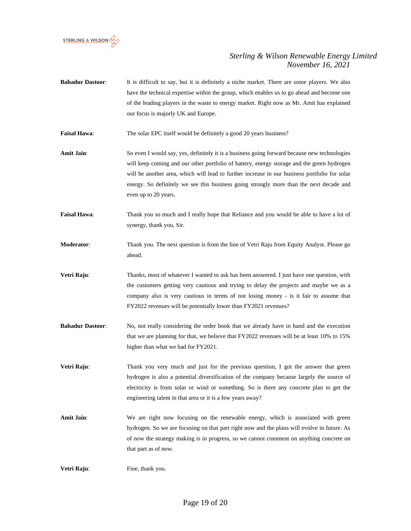

**Bahadur Dastoor:** It is difficult to say, but it is definitely a niche market. There are some players. We also have the technical expertise within the group, which enables us to go ahead and become one of the leading players in the waste to energy market. Right now as Mr. Amit has explained our focus is majorly UK and Europe.

Faisal Hawa: The solar EPC itself would be definitely a good 20 years business?

- Amit Jain: So even I would say, yes, definitely it is a business going forward because new technologies will keep coming and our other portfolio of battery, energy storage and the green hydrogen will be another area, which will lead to further increase in our business portfolio for solar energy. So definitely we see this business going strongly more than the next decade and even up to 20 years.
- **Faisal Hawa:** Thank you so much and I really hope that Reliance and you would be able to have a lot of synergy, thank you, Sir.
- **Moderator**: Thank you. The next question is from the line of Vetri Raju from Equity Analyst. Please go ahead.
- **Vetri Raju:** Thanks, most of whatever I wanted to ask has been answered. I just have one question, with the customers getting very cautious and trying to delay the projects and maybe we as a company also is very cautious in terms of not losing money - is it fair to assume that FY2022 revenues will be potentially lower than FY2021 revenues?
- **Bahadur Dastoor:** No, not really considering the order book that we already have in hand and the execution that we are planning for that, we believe that FY2022 revenues will be at least 10% to 15% higher than what we had for FY2021.
- **Vetri Raju:** Thank you very much and just for the previous question, I got the answer that green hydrogen is also a potential diversification of the company because largely the source of electricity is from solar or wind or something. So is there any concrete plan to get the engineering talent in that area or it is a few years away?
- Amit Jain: We are right now focusing on the renewable energy, which is associated with green hydrogen. So we are focusing on that part right now and the plans will evolve in future. As of now the strategy making is in progress, so we cannot comment on anything concrete on that part as of now.

**Vetri Raju:** Fine, thank you.